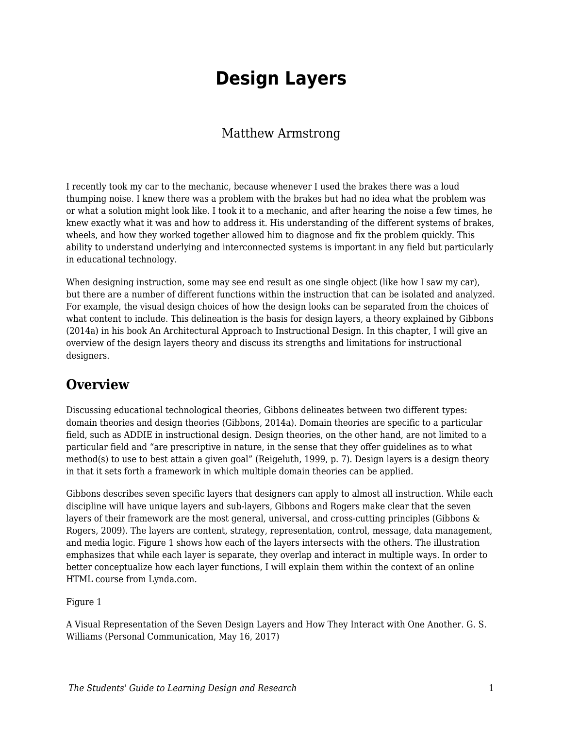# **Design Layers**

### Matthew Armstrong

I recently took my car to the mechanic, because whenever I used the brakes there was a loud thumping noise. I knew there was a problem with the brakes but had no idea what the problem was or what a solution might look like. I took it to a mechanic, and after hearing the noise a few times, he knew exactly what it was and how to address it. His understanding of the different systems of brakes, wheels, and how they worked together allowed him to diagnose and fix the problem quickly. This ability to understand underlying and interconnected systems is important in any field but particularly in educational technology.

When designing instruction, some may see end result as one single object (like how I saw my car), but there are a number of different functions within the instruction that can be isolated and analyzed. For example, the visual design choices of how the design looks can be separated from the choices of what content to include. This delineation is the basis for design layers, a theory explained by Gibbons (2014a) in his book An Architectural Approach to Instructional Design. In this chapter, I will give an overview of the design layers theory and discuss its strengths and limitations for instructional designers.

## **Overview**

Discussing educational technological theories, Gibbons delineates between two different types: domain theories and design theories (Gibbons, 2014a). Domain theories are specific to a particular field, such as ADDIE in instructional design. Design theories, on the other hand, are not limited to a particular field and "are prescriptive in nature, in the sense that they offer guidelines as to what method(s) to use to best attain a given goal" (Reigeluth, 1999, p. 7). Design layers is a design theory in that it sets forth a framework in which multiple domain theories can be applied.

Gibbons describes seven specific layers that designers can apply to almost all instruction. While each discipline will have unique layers and sub-layers, Gibbons and Rogers make clear that the seven layers of their framework are the most general, universal, and cross-cutting principles (Gibbons & Rogers, 2009). The layers are content, strategy, representation, control, message, data management, and media logic. Figure 1 shows how each of the layers intersects with the others. The illustration emphasizes that while each layer is separate, they overlap and interact in multiple ways. In order to better conceptualize how each layer functions, I will explain them within the context of an online HTML course from Lynda.com.

Figure 1

A Visual Representation of the Seven Design Layers and How They Interact with One Another. G. S. Williams (Personal Communication, May 16, 2017)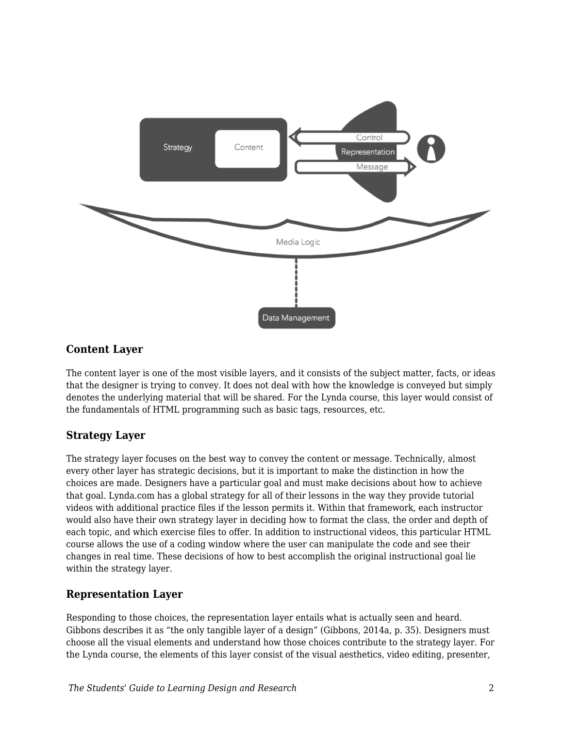

### **Content Layer**

The content layer is one of the most visible layers, and it consists of the subject matter, facts, or ideas that the designer is trying to convey. It does not deal with how the knowledge is conveyed but simply denotes the underlying material that will be shared. For the Lynda course, this layer would consist of the fundamentals of HTML programming such as basic tags, resources, etc.

### **Strategy Layer**

The strategy layer focuses on the best way to convey the content or message. Technically, almost every other layer has strategic decisions, but it is important to make the distinction in how the choices are made. Designers have a particular goal and must make decisions about how to achieve that goal. Lynda.com has a global strategy for all of their lessons in the way they provide tutorial videos with additional practice files if the lesson permits it. Within that framework, each instructor would also have their own strategy layer in deciding how to format the class, the order and depth of each topic, and which exercise files to offer. In addition to instructional videos, this particular HTML course allows the use of a coding window where the user can manipulate the code and see their changes in real time. These decisions of how to best accomplish the original instructional goal lie within the strategy layer.

### **Representation Layer**

Responding to those choices, the representation layer entails what is actually seen and heard. Gibbons describes it as "the only tangible layer of a design" (Gibbons, 2014a, p. 35). Designers must choose all the visual elements and understand how those choices contribute to the strategy layer. For the Lynda course, the elements of this layer consist of the visual aesthetics, video editing, presenter,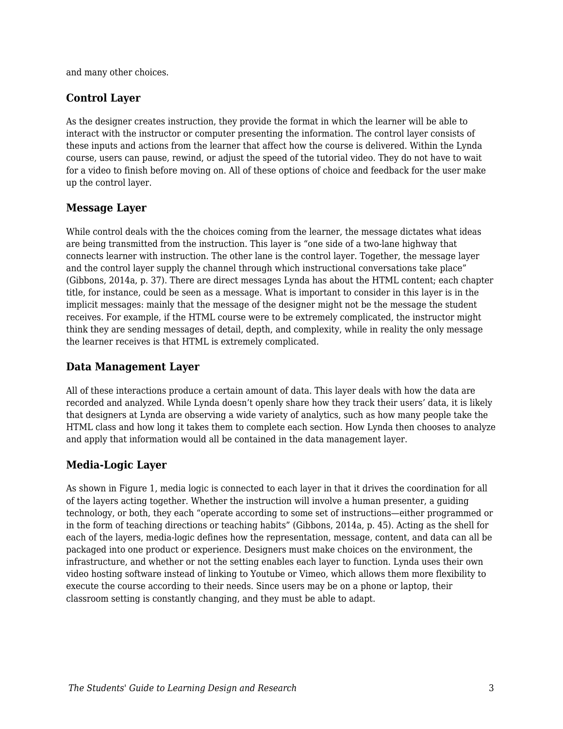and many other choices.

#### **Control Layer**

As the designer creates instruction, they provide the format in which the learner will be able to interact with the instructor or computer presenting the information. The control layer consists of these inputs and actions from the learner that affect how the course is delivered. Within the Lynda course, users can pause, rewind, or adjust the speed of the tutorial video. They do not have to wait for a video to finish before moving on. All of these options of choice and feedback for the user make up the control layer.

#### **Message Layer**

While control deals with the the choices coming from the learner, the message dictates what ideas are being transmitted from the instruction. This layer is "one side of a two-lane highway that connects learner with instruction. The other lane is the control layer. Together, the message layer and the control layer supply the channel through which instructional conversations take place" (Gibbons, 2014a, p. 37). There are direct messages Lynda has about the HTML content; each chapter title, for instance, could be seen as a message. What is important to consider in this layer is in the implicit messages: mainly that the message of the designer might not be the message the student receives. For example, if the HTML course were to be extremely complicated, the instructor might think they are sending messages of detail, depth, and complexity, while in reality the only message the learner receives is that HTML is extremely complicated.

#### **Data Management Layer**

All of these interactions produce a certain amount of data. This layer deals with how the data are recorded and analyzed. While Lynda doesn't openly share how they track their users' data, it is likely that designers at Lynda are observing a wide variety of analytics, such as how many people take the HTML class and how long it takes them to complete each section. How Lynda then chooses to analyze and apply that information would all be contained in the data management layer.

#### **Media-Logic Layer**

As shown in Figure 1, media logic is connected to each layer in that it drives the coordination for all of the layers acting together. Whether the instruction will involve a human presenter, a guiding technology, or both, they each "operate according to some set of instructions—either programmed or in the form of teaching directions or teaching habits" (Gibbons, 2014a, p. 45). Acting as the shell for each of the layers, media-logic defines how the representation, message, content, and data can all be packaged into one product or experience. Designers must make choices on the environment, the infrastructure, and whether or not the setting enables each layer to function. Lynda uses their own video hosting software instead of linking to Youtube or Vimeo, which allows them more flexibility to execute the course according to their needs. Since users may be on a phone or laptop, their classroom setting is constantly changing, and they must be able to adapt.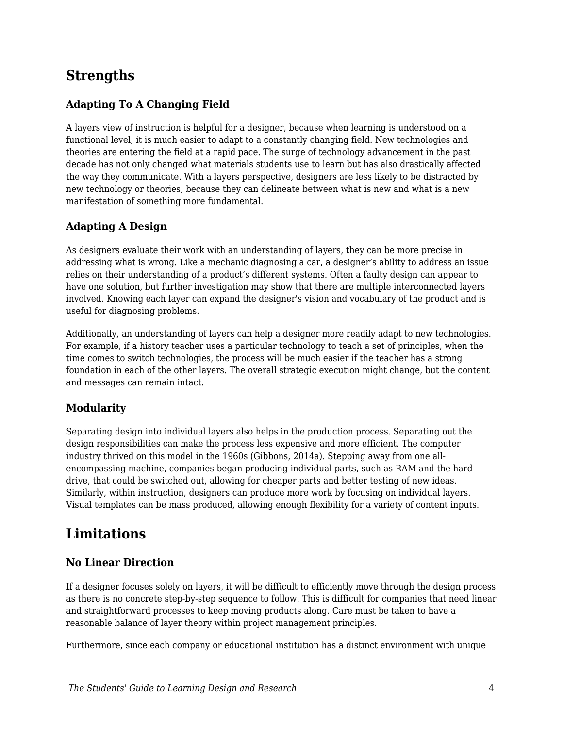# **Strengths**

### **Adapting To A Changing Field**

A layers view of instruction is helpful for a designer, because when learning is understood on a functional level, it is much easier to adapt to a constantly changing field. New technologies and theories are entering the field at a rapid pace. The surge of technology advancement in the past decade has not only changed what materials students use to learn but has also drastically affected the way they communicate. With a layers perspective, designers are less likely to be distracted by new technology or theories, because they can delineate between what is new and what is a new manifestation of something more fundamental.

### **Adapting A Design**

As designers evaluate their work with an understanding of layers, they can be more precise in addressing what is wrong. Like a mechanic diagnosing a car, a designer's ability to address an issue relies on their understanding of a product's different systems. Often a faulty design can appear to have one solution, but further investigation may show that there are multiple interconnected layers involved. Knowing each layer can expand the designer's vision and vocabulary of the product and is useful for diagnosing problems.

Additionally, an understanding of layers can help a designer more readily adapt to new technologies. For example, if a history teacher uses a particular technology to teach a set of principles, when the time comes to switch technologies, the process will be much easier if the teacher has a strong foundation in each of the other layers. The overall strategic execution might change, but the content and messages can remain intact.

### **Modularity**

Separating design into individual layers also helps in the production process. Separating out the design responsibilities can make the process less expensive and more efficient. The computer industry thrived on this model in the 1960s (Gibbons, 2014a). Stepping away from one allencompassing machine, companies began producing individual parts, such as RAM and the hard drive, that could be switched out, allowing for cheaper parts and better testing of new ideas. Similarly, within instruction, designers can produce more work by focusing on individual layers. Visual templates can be mass produced, allowing enough flexibility for a variety of content inputs.

## **Limitations**

### **No Linear Direction**

If a designer focuses solely on layers, it will be difficult to efficiently move through the design process as there is no concrete step-by-step sequence to follow. This is difficult for companies that need linear and straightforward processes to keep moving products along. Care must be taken to have a reasonable balance of layer theory within project management principles.

Furthermore, since each company or educational institution has a distinct environment with unique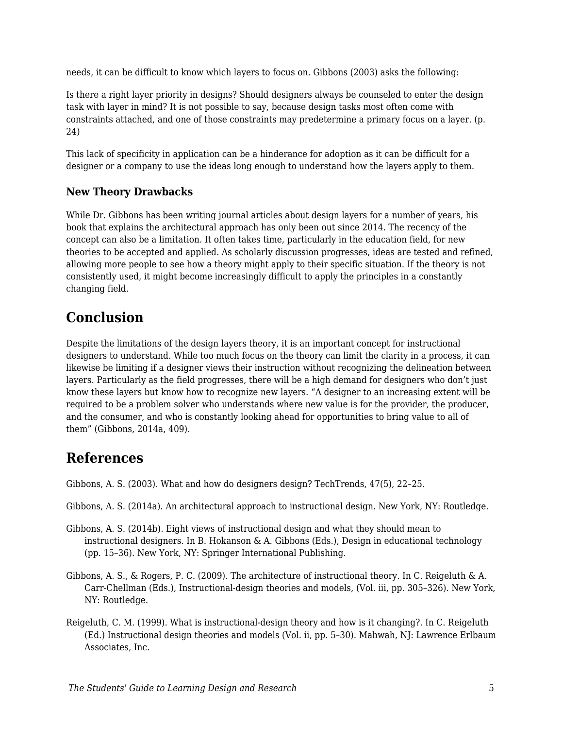needs, it can be difficult to know which layers to focus on. Gibbons (2003) asks the following:

Is there a right layer priority in designs? Should designers always be counseled to enter the design task with layer in mind? It is not possible to say, because design tasks most often come with constraints attached, and one of those constraints may predetermine a primary focus on a layer. (p. 24)

This lack of specificity in application can be a hinderance for adoption as it can be difficult for a designer or a company to use the ideas long enough to understand how the layers apply to them.

### **New Theory Drawbacks**

While Dr. Gibbons has been writing journal articles about design layers for a number of years, his book that explains the architectural approach has only been out since 2014. The recency of the concept can also be a limitation. It often takes time, particularly in the education field, for new theories to be accepted and applied. As scholarly discussion progresses, ideas are tested and refined, allowing more people to see how a theory might apply to their specific situation. If the theory is not consistently used, it might become increasingly difficult to apply the principles in a constantly changing field.

# **Conclusion**

Despite the limitations of the design layers theory, it is an important concept for instructional designers to understand. While too much focus on the theory can limit the clarity in a process, it can likewise be limiting if a designer views their instruction without recognizing the delineation between layers. Particularly as the field progresses, there will be a high demand for designers who don't just know these layers but know how to recognize new layers. "A designer to an increasing extent will be required to be a problem solver who understands where new value is for the provider, the producer, and the consumer, and who is constantly looking ahead for opportunities to bring value to all of them" (Gibbons, 2014a, 409).

### **References**

Gibbons, A. S. (2003). What and how do designers design? TechTrends, 47(5), 22–25.

- Gibbons, A. S. (2014a). An architectural approach to instructional design. New York, NY: Routledge.
- Gibbons, A. S. (2014b). Eight views of instructional design and what they should mean to instructional designers. In B. Hokanson & A. Gibbons (Eds.), Design in educational technology (pp. 15–36). New York, NY: Springer International Publishing.
- Gibbons, A. S., & Rogers, P. C. (2009). The architecture of instructional theory. In C. Reigeluth & A. Carr-Chellman (Eds.), Instructional-design theories and models, (Vol. iii, pp. 305–326). New York, NY: Routledge.
- Reigeluth, C. M. (1999). What is instructional-design theory and how is it changing?. In C. Reigeluth (Ed.) Instructional design theories and models (Vol. ii, pp. 5–30). Mahwah, NJ: Lawrence Erlbaum Associates, Inc.